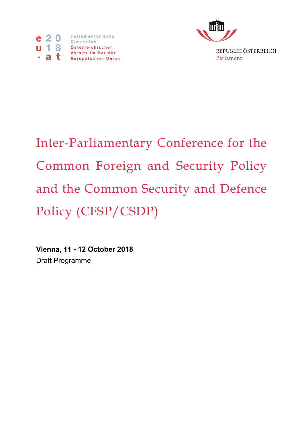



Inter-Parliamentary Conference for the Common Foreign and Security Policy and the Common Security and Defence Policy (CFSP/CSDP)

**Vienna, 11 - 12 October 2018** Draft Programme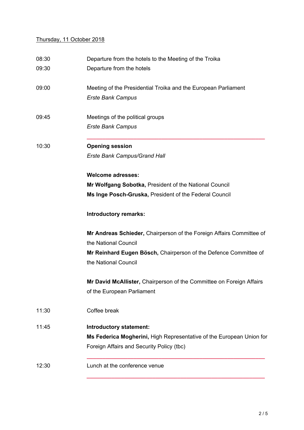## Thursday, 11 October 2018

| 08:30 | Departure from the hotels to the Meeting of the Troika                                     |  |  |  |
|-------|--------------------------------------------------------------------------------------------|--|--|--|
| 09:30 | Departure from the hotels                                                                  |  |  |  |
| 09:00 | Meeting of the Presidential Troika and the European Parliament<br><b>Erste Bank Campus</b> |  |  |  |
| 09:45 | Meetings of the political groups<br><b>Erste Bank Campus</b>                               |  |  |  |
| 10:30 | <b>Opening session</b>                                                                     |  |  |  |
|       | <b>Erste Bank Campus/Grand Hall</b>                                                        |  |  |  |
|       | <b>Welcome adresses:</b>                                                                   |  |  |  |
|       | Mr Wolfgang Sobotka, President of the National Council                                     |  |  |  |
|       | Ms Inge Posch-Gruska, President of the Federal Council                                     |  |  |  |
|       | <b>Introductory remarks:</b>                                                               |  |  |  |
|       | Mr Andreas Schieder, Chairperson of the Foreign Affairs Committee of                       |  |  |  |
|       | the National Council                                                                       |  |  |  |
|       | Mr Reinhard Eugen Bösch, Chairperson of the Defence Committee of                           |  |  |  |
|       | the National Council                                                                       |  |  |  |
|       | Mr David McAllister, Chairperson of the Committee on Foreign Affairs                       |  |  |  |
|       | of the European Parliament                                                                 |  |  |  |
| 11:30 | Coffee break                                                                               |  |  |  |
| 11:45 | Introductory statement:                                                                    |  |  |  |
|       | Ms Federica Mogherini, High Representative of the European Union for                       |  |  |  |
|       | Foreign Affairs and Security Policy (tbc)                                                  |  |  |  |
| 12:30 | Lunch at the conference venue                                                              |  |  |  |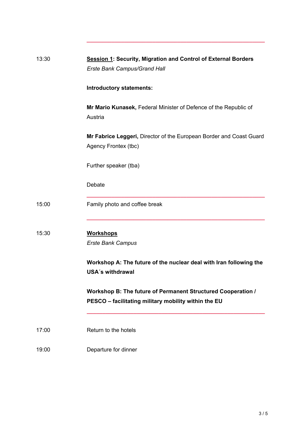| 13:30 | <b>Session 1: Security, Migration and Control of External Borders</b><br>Erste Bank Campus/Grand Hall                |  |  |  |  |
|-------|----------------------------------------------------------------------------------------------------------------------|--|--|--|--|
|       | <b>Introductory statements:</b>                                                                                      |  |  |  |  |
|       | Mr Mario Kunasek, Federal Minister of Defence of the Republic of<br>Austria                                          |  |  |  |  |
|       | Mr Fabrice Leggeri, Director of the European Border and Coast Guard<br>Agency Frontex (tbc)                          |  |  |  |  |
|       | Further speaker (tba)                                                                                                |  |  |  |  |
|       | Debate                                                                                                               |  |  |  |  |
| 15:00 | Family photo and coffee break                                                                                        |  |  |  |  |
| 15:30 | <b>Workshops</b><br><b>Erste Bank Campus</b>                                                                         |  |  |  |  |
|       | Workshop A: The future of the nuclear deal with Iran following the<br><b>USA's withdrawal</b>                        |  |  |  |  |
|       | Workshop B: The future of Permanent Structured Cooperation /<br>PESCO - facilitating military mobility within the EU |  |  |  |  |
| 17:00 | Return to the hotels                                                                                                 |  |  |  |  |
| 19:00 | Departure for dinner                                                                                                 |  |  |  |  |

**\_\_\_\_\_\_\_\_\_\_\_\_\_\_\_\_\_\_\_\_\_\_\_\_\_\_\_\_\_\_\_\_\_\_\_\_\_\_\_\_\_\_\_\_\_\_\_\_\_\_\_\_\_\_\_\_\_**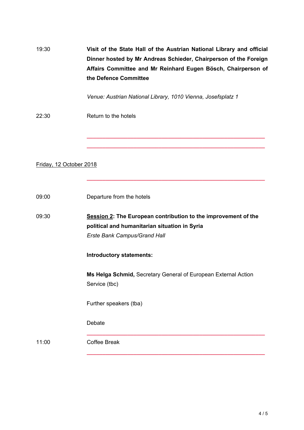19:30 **Visit of the State Hall of the Austrian National Library and official Dinner hosted by Mr Andreas Schieder, Chairperson of the Foreign Affairs Committee and Mr Reinhard Eugen Bösch, Chairperson of the Defence Committee**

*Venue: Austrian National Library, 1010 Vienna, Josefsplatz 1*

**\_\_\_\_\_\_\_\_\_\_\_\_\_\_\_\_\_\_\_\_\_\_\_\_\_\_\_\_\_\_\_\_\_\_\_\_\_\_\_\_\_\_\_\_\_\_\_\_\_\_\_\_\_\_\_\_\_ \_\_\_\_\_\_\_\_\_\_\_\_\_\_\_\_\_\_\_\_\_\_\_\_\_\_\_\_\_\_\_\_\_\_\_\_\_\_\_\_\_\_\_\_\_\_\_\_\_\_\_\_\_\_\_\_\_**

**\_\_\_\_\_\_\_\_\_\_\_\_\_\_\_\_\_\_\_\_\_\_\_\_\_\_\_\_\_\_\_\_\_\_\_\_\_\_\_\_\_\_\_\_\_\_\_\_\_\_\_\_\_\_\_\_\_**

22:30 Return to the hotels

Friday, 12 October 2018

| 09:00 | Departure from the hotels |  |  |
|-------|---------------------------|--|--|
|       |                           |  |  |

09:30 **Session 2: The European contribution to the improvement of the political and humanitarian situation in Syria** *Erste Bank Campus/Grand Hall*

## **Introductory statements:**

**Ms Helga Schmid,** Secretary General of European External Action Service (tbc)

**\_\_\_\_\_\_\_\_\_\_\_\_\_\_\_\_\_\_\_\_\_\_\_\_\_\_\_\_\_\_\_\_\_\_\_\_\_\_\_\_\_\_\_\_\_\_\_\_\_\_\_\_\_\_\_\_\_**

**\_\_\_\_\_\_\_\_\_\_\_\_\_\_\_\_\_\_\_\_\_\_\_\_\_\_\_\_\_\_\_\_\_\_\_\_\_\_\_\_\_\_\_\_\_\_\_\_\_\_\_\_\_\_\_\_\_**

Further speakers (tba)

Debate

11:00 Coffee Break